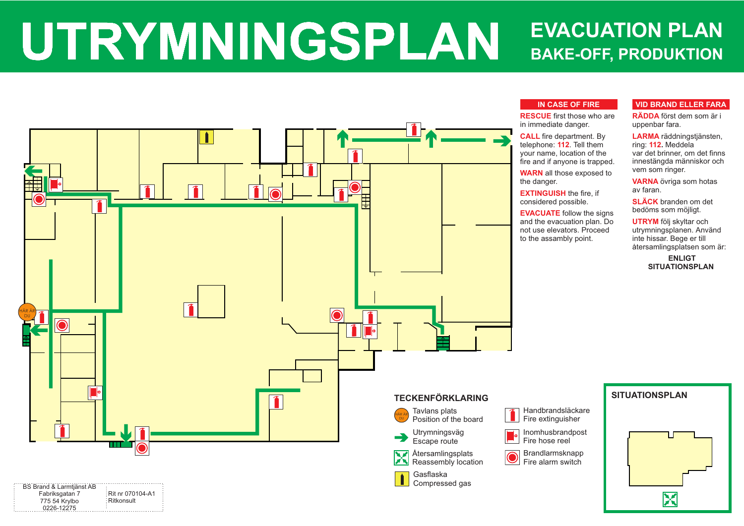### **VID BRAND ELLER FARA**

**RÄDDA** först dem som är i uppenbar fara.

**LARMA** räddningstjänsten, **112** ring: Meddela **.** var det brinner, om det finns innestängda människor och vem som ringer.

**VARNA** övriga som hotas av faran.

**SLÄCK**  branden om det bedöms som möjligt.

**UTRYM** följ skyltar och utrymningsplanen. Använd inte hissar. Bege er till återsamlingsplatsen som är:

### **ENLIGT SITUATIONSPLAN**



## **IN CASE OF FIRE**

# **UTRYMNINGSPLAN BAKE-OFF, PRODUKTION EVACUATION PLAN**

**RESCUE**  first those who are

**CALL** fire department. By telephone: **112**. Tell them your name, location of the fire and if anyone is trapped.

**WARN** all those exposed to

**EVACUATE** follow the signs and the evacuation plan. Do not use elevators. Proceed

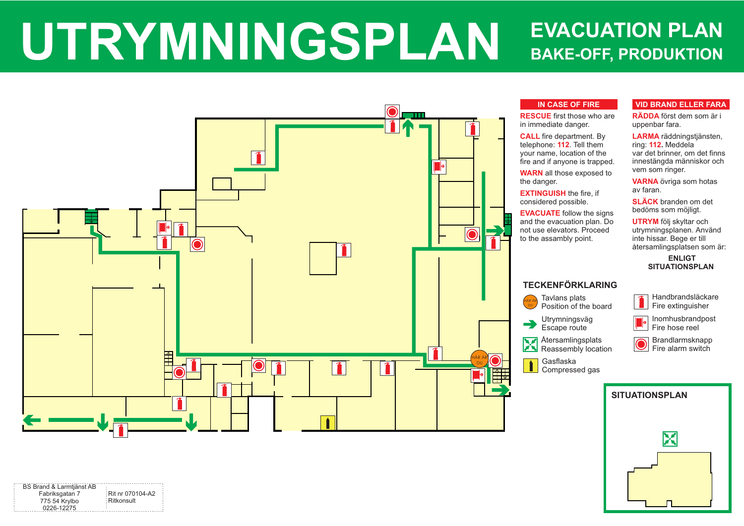# **VID BRAND ELLER FARA**

**RÄDDA** först dem som är i uppenbar fara.

**LARMA** räddningstjänsten, **112** ring: Meddela **.** var det brinner, om det finns innestängda människor och vem som ringer.

**VARNA** övriga som hotas av faran.

**SLÄCK**  branden om det bedöms som möjligt.

**UTRYM** följ skyltar och utrymningsplanen. Använd inte hissar. Bege er till återsamlingsplatsen som är:

## **ENLIGT SITUATIONSPLAN**



## **IN CASE OF FIRE**

Tavlans plats Position of the board

**RESCUE**  first those who are

**CALL** fire department. By telephone: **112**. Tell them your name, location of the fire and if anyone is trapped.

**WARN** all those exposed to

# **UTRYMNINGSPLAN BAKE-OFF, PRODUKTION EVACUATION PLAN**

**EVACUATE** follow the signs and the evacuation plan. Do not use elevators. Proceed



Brandlarmsknapp Fire alarm switch

Compressed gas



# **TECKENFÖRKLARING**

Utrymningsväg Escape route

Återsamlingsplats Reassembly location Handbrandsläckare Fire extinguisher



Inomhusbrandpost Fire hose reel